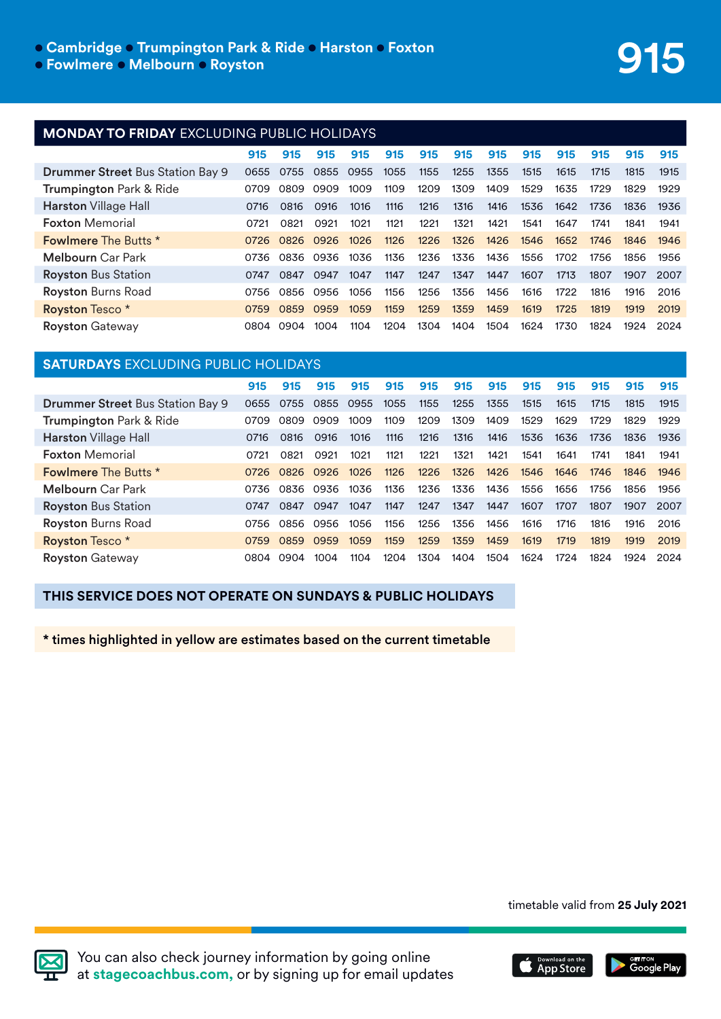## **e Cambridge · Trumpington Park & Ride · Harston · Foxton**

l **Fowlmere** l **Melbourn** l **Royston**

### **MONDAY TO FRIDAY** EXCLUDING PUBLIC HOLIDAYS

|                                         | 915  | 915       | 915  | 915  | 915  | 915  | 915  | 915  | 915  | 915  | 915  | 915  | 915  |
|-----------------------------------------|------|-----------|------|------|------|------|------|------|------|------|------|------|------|
| <b>Drummer Street Bus Station Bay 9</b> | 0655 | 0755      | 0855 | 0955 | 1055 | 1155 | 1255 | 1355 | 1515 | 1615 | 1715 | 1815 | 1915 |
| <b>Trumpington Park &amp; Ride</b>      | 0709 | 0809      | 0909 | 1009 | 1109 | 1209 | 1309 | 1409 | 1529 | 1635 | 1729 | 1829 | 1929 |
| <b>Harston</b> Village Hall             | 0716 | 0816      | 0916 | 1016 | 1116 | 1216 | 1316 | 1416 | 1536 | 1642 | 1736 | 1836 | 1936 |
| <b>Foxton Memorial</b>                  | 0721 | 0821      | 0921 | 1021 | 1121 | 1221 | 1321 | 1421 | 1541 | 1647 | 1741 | 1841 | 1941 |
| <b>Fowlmere</b> The Butts *             | 0726 | 0826 0926 |      | 1026 | 1126 | 1226 | 1326 | 1426 | 1546 | 1652 | 1746 | 1846 | 1946 |
| <b>Melbourn</b> Car Park                | 0736 | 0836 0936 |      | 1036 | 1136 | 1236 | 1336 | 1436 | 1556 | 1702 | 1756 | 1856 | 1956 |
| <b>Royston Bus Station</b>              | 0747 | 0847      | 0947 | 1047 | 1147 | 1247 | 1347 | 1447 | 1607 | 1713 | 1807 | 1907 | 2007 |
| <b>Royston Burns Road</b>               | 0756 | 0856      | 0956 | 1056 | 1156 | 1256 | 1356 | 1456 | 1616 | 1722 | 1816 | 1916 | 2016 |
| Royston Tesco <sup>*</sup>              | 0759 | 0859      | 0959 | 1059 | 1159 | 1259 | 1359 | 1459 | 1619 | 1725 | 1819 | 1919 | 2019 |
| <b>Royston Gateway</b>                  | 0804 | 0904      | 1004 | 1104 | 1204 | 1304 | 1404 | 1504 | 1624 | 1730 | 1824 | 1924 | 2024 |

## **SATURDAYS** EXCLUDING PUBLIC HOLIDAYS

|                                         | 915  | 915  | 915       | 915  | 915  | 915  | 915  | 915  | 915  | 915  | 915  | 915  | 915  |
|-----------------------------------------|------|------|-----------|------|------|------|------|------|------|------|------|------|------|
| <b>Drummer Street Bus Station Bay 9</b> | 0655 | 0755 | 0855      | 0955 | 1055 | 1155 | 1255 | 1355 | 1515 | 1615 | 1715 | 1815 | 1915 |
| Trumpington Park & Ride                 | 0709 | 0809 | 0909      | 1009 | 1109 | 1209 | 1309 | 1409 | 1529 | 1629 | 1729 | 1829 | 1929 |
| <b>Harston Village Hall</b>             | 0716 | 0816 | 0916      | 1016 | 1116 | 1216 | 1316 | 1416 | 1536 | 1636 | 1736 | 1836 | 1936 |
| <b>Foxton Memorial</b>                  | 0721 | 0821 | 0921      | 1021 | 1121 | 1221 | 1321 | 1421 | 1541 | 1641 | 1741 | 1841 | 1941 |
| <b>Fowlmere The Butts *</b>             | 0726 |      | 0826 0926 | 1026 | 1126 | 1226 | 1326 | 1426 | 1546 | 1646 | 1746 | 1846 | 1946 |
| <b>Melbourn</b> Car Park                | 0736 |      | 0836 0936 | 1036 | 1136 | 1236 | 1336 | 1436 | 1556 | 1656 | 1756 | 1856 | 1956 |
| <b>Royston Bus Station</b>              | 0747 | 0847 | 0947      | 1047 | 1147 | 1247 | 1347 | 1447 | 1607 | 1707 | 1807 | 1907 | 2007 |
| <b>Royston Burns Road</b>               | 0756 | O856 | 0956      | 1056 | 1156 | 1256 | 1356 | 1456 | 1616 | 1716 | 1816 | 1916 | 2016 |
| Royston Tesco <sup>*</sup>              | 0759 | 0859 | 0959      | 1059 | 1159 | 1259 | 1359 | 1459 | 1619 | 1719 | 1819 | 1919 | 2019 |
| <b>Royston Gateway</b>                  | 0804 | 0904 | 1004      | 1104 | 1204 | 1304 | 1404 | 1504 | 1624 | 1724 | 1824 | 1924 | 2024 |

#### **THIS SERVICE DOES NOT OPERATE ON SUNDAYS & PUBLIC HOLIDAYS**

\* times highlighted in yellow are estimates based on the current timetable

timetable valid from **25 July 2021**



You can also check journey information by going online at **stagecoachbus.com,** or by signing up for email updates